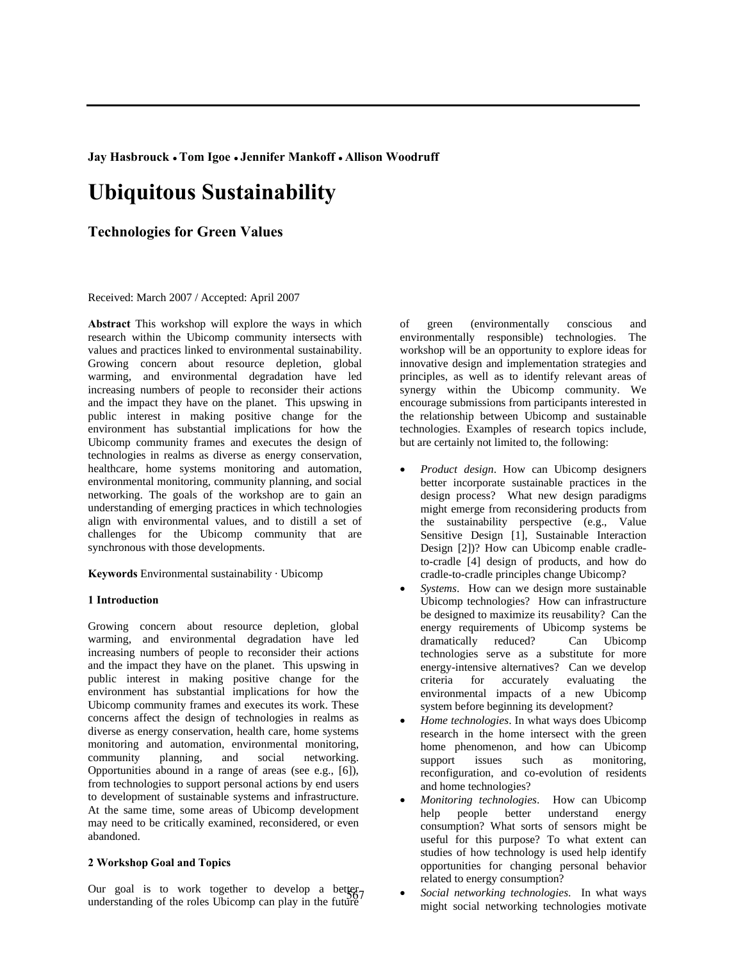**Jay Hasbrouck ●Tom Igoe ● Jennifer Mankoff ● Allison Woodruff** 

# **Ubiquitous Sustainability**

# **Technologies for Green Values**

#### Received: March 2007 / Accepted: April 2007

**Abstract** This workshop will explore the ways in which research within the Ubicomp community intersects with values and practices linked to environmental sustainability. Growing concern about resource depletion, global warming, and environmental degradation have led increasing numbers of people to reconsider their actions and the impact they have on the planet. This upswing in public interest in making positive change for the environment has substantial implications for how the Ubicomp community frames and executes the design of technologies in realms as diverse as energy conservation, healthcare, home systems monitoring and automation, environmental monitoring, community planning, and social networking. The goals of the workshop are to gain an understanding of emerging practices in which technologies align with environmental values, and to distill a set of challenges for the Ubicomp community that are synchronous with those developments.

**Keywords** Environmental sustainability · Ubicomp

## **1 Introduction**

Growing concern about resource depletion, global warming, and environmental degradation have led increasing numbers of people to reconsider their actions and the impact they have on the planet. This upswing in public interest in making positive change for the environment has substantial implications for how the Ubicomp community frames and executes its work. These concerns affect the design of technologies in realms as diverse as energy conservation, health care, home systems monitoring and automation, environmental monitoring, community planning, and social networking. Opportunities abound in a range of areas (see e.g., [6]), from technologies to support personal actions by end users to development of sustainable systems and infrastructure. At the same time, some areas of Ubicomp development may need to be critically examined, reconsidered, or even abandoned.

### **2 Workshop Goal and Topics**

Our goal is to work together to develop a better understanding of the roles Uhicom can play in the future understanding of the roles Ubicomp can play in the future

of green (environmentally conscious and environmentally responsible) technologies. The workshop will be an opportunity to explore ideas for innovative design and implementation strategies and principles, as well as to identify relevant areas of synergy within the Ubicomp community. We encourage submissions from participants interested in the relationship between Ubicomp and sustainable technologies. Examples of research topics include, but are certainly not limited to, the following:

- *Product design*. How can Ubicomp designers better incorporate sustainable practices in the design process? What new design paradigms might emerge from reconsidering products from the sustainability perspective (e.g., Value Sensitive Design [1], Sustainable Interaction Design [2])? How can Ubicomp enable cradleto-cradle [4] design of products, and how do cradle-to-cradle principles change Ubicomp?
- *Systems*. How can we design more sustainable Ubicomp technologies? How can infrastructure be designed to maximize its reusability? Can the energy requirements of Ubicomp systems be dramatically reduced? Can Ubicomp technologies serve as a substitute for more energy-intensive alternatives? Can we develop criteria for accurately evaluating the environmental impacts of a new Ubicomp system before beginning its development?
- *Home technologies*. In what ways does Ubicomp research in the home intersect with the green home phenomenon, and how can Ubicomp support issues such as monitoring, reconfiguration, and co-evolution of residents and home technologies?
- *Monitoring technologies*. How can Ubicomp help people better understand energy consumption? What sorts of sensors might be useful for this purpose? To what extent can studies of how technology is used help identify opportunities for changing personal behavior related to energy consumption?
- *Social networking technologies*. In what ways might social networking technologies motivate